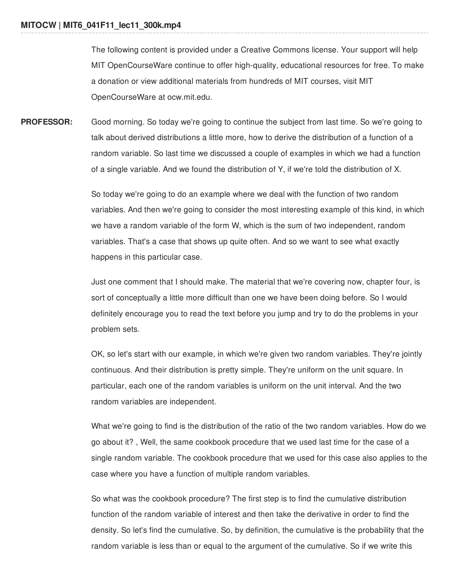The following content is provided under a Creative Commons license. Your support will help MIT OpenCourseWare continue to offer high-quality, educational resources for free. To make a donation or view additional materials from hundreds of MIT courses, visit MIT OpenCourseWare at ocw.mit.edu.

**PROFESSOR:** Good morning. So today we're going to continue the subject from last time. So we're going to talk about derived distributions a little more, how to derive the distribution of a function of a random variable. So last time we discussed a couple of examples in which we had a function of a single variable. And we found the distribution of Y, if we're told the distribution of X.

> So today we're going to do an example where we deal with the function of two random variables. And then we're going to consider the most interesting example of this kind, in which we have a random variable of the form W, which is the sum of two independent, random variables. That's a case that shows up quite often. And so we want to see what exactly happens in this particular case.

Just one comment that I should make. The material that we're covering now, chapter four, is sort of conceptually a little more difficult than one we have been doing before. So I would definitely encourage you to read the text before you jump and try to do the problems in your problem sets.

OK, so let's start with our example, in which we're given two random variables. They're jointly continuous. And their distribution is pretty simple. They're uniform on the unit square. In particular, each one of the random variables is uniform on the unit interval. And the two random variables are independent.

What we're going to find is the distribution of the ratio of the two random variables. How do we go about it? , Well, the same cookbook procedure that we used last time for the case of a single random variable. The cookbook procedure that we used for this case also applies to the case where you have a function of multiple random variables.

So what was the cookbook procedure? The first step is to find the cumulative distribution function of the random variable of interest and then take the derivative in order to find the density. So let's find the cumulative. So, by definition, the cumulative is the probability that the random variable is less than or equal to the argument of the cumulative. So if we write this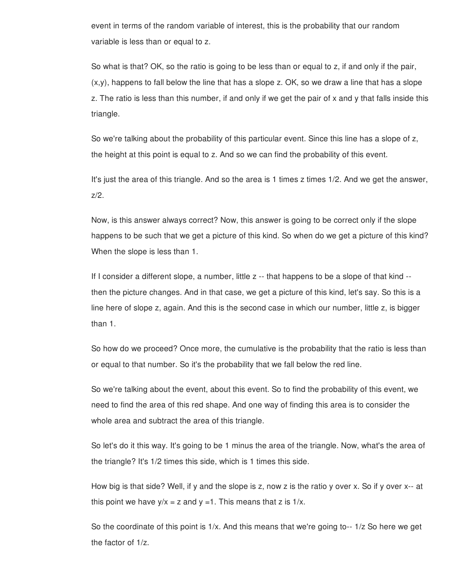event in terms of the random variable of interest, this is the probability that our random variable is less than or equal to z.

So what is that? OK, so the ratio is going to be less than or equal to z, if and only if the pair,  $(x,y)$ , happens to fall below the line that has a slope z. OK, so we draw a line that has a slope z. The ratio is less than this number, if and only if we get the pair of x and y that falls inside this triangle.

So we're talking about the probability of this particular event. Since this line has a slope of z, the height at this point is equal to z. And so we can find the probability of this event.

It's just the area of this triangle. And so the area is 1 times z times 1/2. And we get the answer, z/2.

Now, is this answer always correct? Now, this answer is going to be correct only if the slope happens to be such that we get a picture of this kind. So when do we get a picture of this kind? When the slope is less than 1.

If I consider a different slope, a number, little z -- that happens to be a slope of that kind - then the picture changes. And in that case, we get a picture of this kind, let's say. So this is a line here of slope z, again. And this is the second case in which our number, little z, is bigger than 1.

So how do we proceed? Once more, the cumulative is the probability that the ratio is less than or equal to that number. So it's the probability that we fall below the red line.

So we're talking about the event, about this event. So to find the probability of this event, we need to find the area of this red shape. And one way of finding this area is to consider the whole area and subtract the area of this triangle.

So let's do it this way. It's going to be 1 minus the area of the triangle. Now, what's the area of the triangle? It's 1/2 times this side, which is 1 times this side.

How big is that side? Well, if y and the slope is z, now z is the ratio y over x. So if y over x-- at this point we have  $y/x = z$  and  $y = 1$ . This means that z is  $1/x$ .

So the coordinate of this point is  $1/x$ . And this means that we're going to- $-1/z$  So here we get the factor of 1/z.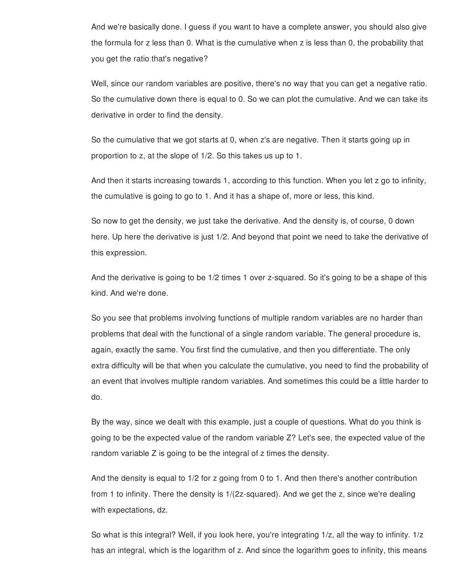And we're basically done. I guess if you want to have a complete answer, you should also give the formula for z less than 0. What is the cumulative when z is less than 0, the probability that you get the ratio that's negative?

Well, since our random variables are positive, there's no way that you can get a negative ratio. So the cumulative down there is equal to 0. So we can plot the cumulative. And we can take its derivative in order to find the density.

So the cumulative that we got starts at 0, when z's are negative. Then it starts going up in proportion to z, at the slope of 1/2. So this takes us up to 1.

And then it starts increasing towards 1, according to this function. When you let z go to infinity, the cumulative is going to go to 1. And it has a shape of, more or less, this kind.

So now to get the density, we just take the derivative. And the density is, of course, 0 down here. Up here the derivative is just 1/2. And beyond that point we need to take the derivative of this expression.

And the derivative is going to be 1/2 times 1 over z-squared. So it's going to be a shape of this kind. And we're done.

So you see that problems involving functions of multiple random variables are no harder than problems that deal with the functional of a single random variable. The general procedure is, again, exactly the same. You first find the cumulative, and then you differentiate. The only extra difficulty will be that when you calculate the cumulative, you need to find the probability of an event that involves multiple random variables. And sometimes this could be a little harder to do.

By the way, since we dealt with this example, just a couple of questions. What do you think is going to be the expected value of the random variable Z? Let's see, the expected value of the random variable Z is going to be the integral of z times the density.

And the density is equal to 1/2 for z going from 0 to 1. And then there's another contribution from 1 to infinity. There the density is 1/(2z-squared). And we get the z, since we're dealing with expectations, dz.

So what is this integral? Well, if you look here, you're integrating 1/z, all the way to infinity. 1/z has an integral, which is the logarithm of z. And since the logarithm goes to infinity, this means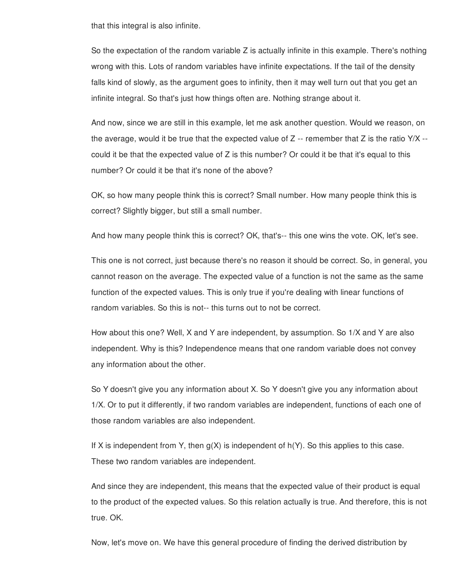that this integral is also infinite.

So the expectation of the random variable Z is actually infinite in this example. There's nothing wrong with this. Lots of random variables have infinite expectations. If the tail of the density falls kind of slowly, as the argument goes to infinity, then it may well turn out that you get an infinite integral. So that's just how things often are. Nothing strange about it.

And now, since we are still in this example, let me ask another question. Would we reason, on the average, would it be true that the expected value of  $Z$  -- remember that  $Z$  is the ratio  $Y/X$  -could it be that the expected value of Z is this number? Or could it be that it's equal to this number? Or could it be that it's none of the above?

OK, so how many people think this is correct? Small number. How many people think this is correct? Slightly bigger, but still a small number.

And how many people think this is correct? OK, that's-- this one wins the vote. OK, let's see.

This one is not correct, just because there's no reason it should be correct. So, in general, you cannot reason on the average. The expected value of a function is not the same as the same function of the expected values. This is only true if you're dealing with linear functions of random variables. So this is not-- this turns out to not be correct.

How about this one? Well, X and Y are independent, by assumption. So 1/X and Y are also independent. Why is this? Independence means that one random variable does not convey any information about the other.

So Y doesn't give you any information about X. So Y doesn't give you any information about 1/X. Or to put it differently, if two random variables are independent, functions of each one of those random variables are also independent.

If X is independent from Y, then  $q(X)$  is independent of  $h(Y)$ . So this applies to this case. These two random variables are independent.

And since they are independent, this means that the expected value of their product is equal to the product of the expected values. So this relation actually is true. And therefore, this is not true. OK.

Now, let's move on. We have this general procedure of finding the derived distribution by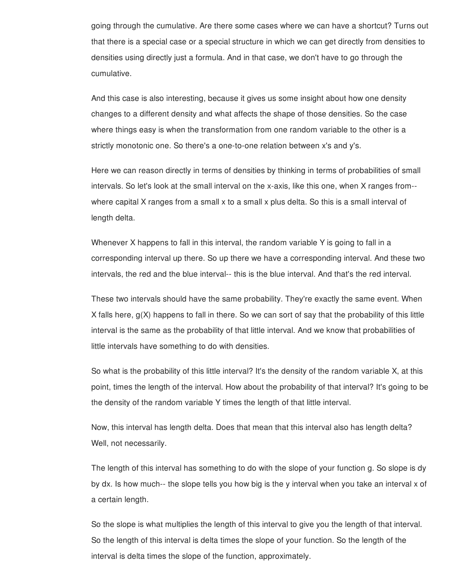going through the cumulative. Are there some cases where we can have a shortcut? Turns out that there is a special case or a special structure in which we can get directly from densities to densities using directly just a formula. And in that case, we don't have to go through the cumulative.

And this case is also interesting, because it gives us some insight about how one density changes to a different density and what affects the shape of those densities. So the case where things easy is when the transformation from one random variable to the other is a strictly monotonic one. So there's a one-to-one relation between x's and y's.

Here we can reason directly in terms of densities by thinking in terms of probabilities of small intervals. So let's look at the small interval on the x-axis, like this one, when X ranges from- where capital X ranges from a small x to a small x plus delta. So this is a small interval of length delta.

Whenever X happens to fall in this interval, the random variable Y is going to fall in a corresponding interval up there. So up there we have a corresponding interval. And these two intervals, the red and the blue interval-- this is the blue interval. And that's the red interval.

These two intervals should have the same probability. They're exactly the same event. When X falls here, g(X) happens to fall in there. So we can sort of say that the probability of this little interval is the same as the probability of that little interval. And we know that probabilities of little intervals have something to do with densities.

So what is the probability of this little interval? It's the density of the random variable X, at this point, times the length of the interval. How about the probability of that interval? It's going to be the density of the random variable Y times the length of that little interval.

Now, this interval has length delta. Does that mean that this interval also has length delta? Well, not necessarily.

The length of this interval has something to do with the slope of your function g. So slope is dy by dx. Is how much-- the slope tells you how big is the y interval when you take an interval x of a certain length.

So the slope is what multiplies the length of this interval to give you the length of that interval. So the length of this interval is delta times the slope of your function. So the length of the interval is delta times the slope of the function, approximately.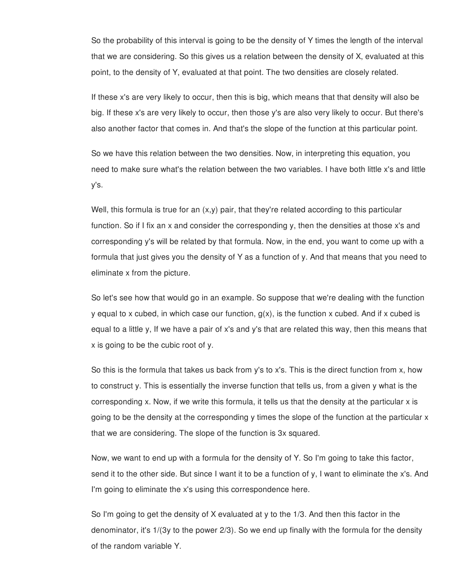So the probability of this interval is going to be the density of Y times the length of the interval that we are considering. So this gives us a relation between the density of X, evaluated at this point, to the density of Y, evaluated at that point. The two densities are closely related.

If these x's are very likely to occur, then this is big, which means that that density will also be big. If these x's are very likely to occur, then those y's are also very likely to occur. But there's also another factor that comes in. And that's the slope of the function at this particular point.

So we have this relation between the two densities. Now, in interpreting this equation, you need to make sure what's the relation between the two variables. I have both little x's and little y's.

Well, this formula is true for an  $(x,y)$  pair, that they're related according to this particular function. So if I fix an x and consider the corresponding y, then the densities at those x's and corresponding y's will be related by that formula. Now, in the end, you want to come up with a formula that just gives you the density of Y as a function of y. And that means that you need to eliminate x from the picture.

So let's see how that would go in an example. So suppose that we're dealing with the function y equal to x cubed, in which case our function,  $g(x)$ , is the function x cubed. And if x cubed is equal to a little y, If we have a pair of x's and y's that are related this way, then this means that x is going to be the cubic root of y.

So this is the formula that takes us back from y's to x's. This is the direct function from x, how to construct y. This is essentially the inverse function that tells us, from a given y what is the corresponding x. Now, if we write this formula, it tells us that the density at the particular x is going to be the density at the corresponding y times the slope of the function at the particular x that we are considering. The slope of the function is 3x squared.

Now, we want to end up with a formula for the density of Y. So I'm going to take this factor, send it to the other side. But since I want it to be a function of y, I want to eliminate the x's. And I'm going to eliminate the x's using this correspondence here.

So I'm going to get the density of X evaluated at y to the 1/3. And then this factor in the denominator, it's 1/(3y to the power 2/3). So we end up finally with the formula for the density of the random variable Y.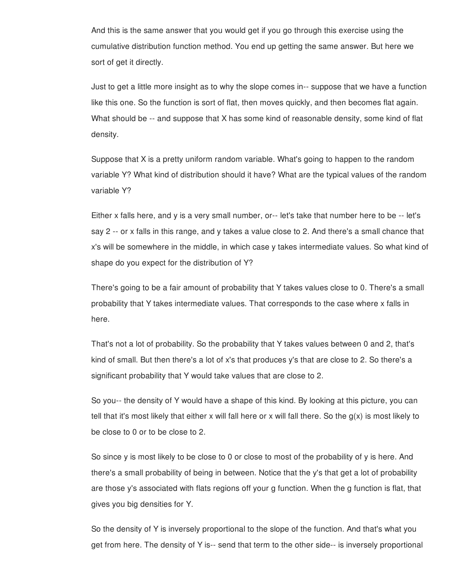And this is the same answer that you would get if you go through this exercise using the cumulative distribution function method. You end up getting the same answer. But here we sort of get it directly.

Just to get a little more insight as to why the slope comes in-- suppose that we have a function like this one. So the function is sort of flat, then moves quickly, and then becomes flat again. What should be -- and suppose that X has some kind of reasonable density, some kind of flat density.

Suppose that X is a pretty uniform random variable. What's going to happen to the random variable Y? What kind of distribution should it have? What are the typical values of the random variable Y?

Either x falls here, and y is a very small number, or-- let's take that number here to be -- let's say 2 -- or x falls in this range, and y takes a value close to 2. And there's a small chance that x's will be somewhere in the middle, in which case y takes intermediate values. So what kind of shape do you expect for the distribution of Y?

There's going to be a fair amount of probability that Y takes values close to 0. There's a small probability that Y takes intermediate values. That corresponds to the case where x falls in here.

That's not a lot of probability. So the probability that Y takes values between 0 and 2, that's kind of small. But then there's a lot of x's that produces y's that are close to 2. So there's a significant probability that Y would take values that are close to 2.

So you-- the density of Y would have a shape of this kind. By looking at this picture, you can tell that it's most likely that either x will fall here or x will fall there. So the g(x) is most likely to be close to 0 or to be close to 2.

So since y is most likely to be close to 0 or close to most of the probability of y is here. And there's a small probability of being in between. Notice that the y's that get a lot of probability are those y's associated with flats regions off your g function. When the g function is flat, that gives you big densities for Y.

So the density of Y is inversely proportional to the slope of the function. And that's what you get from here. The density of Y is-- send that term to the other side-- is inversely proportional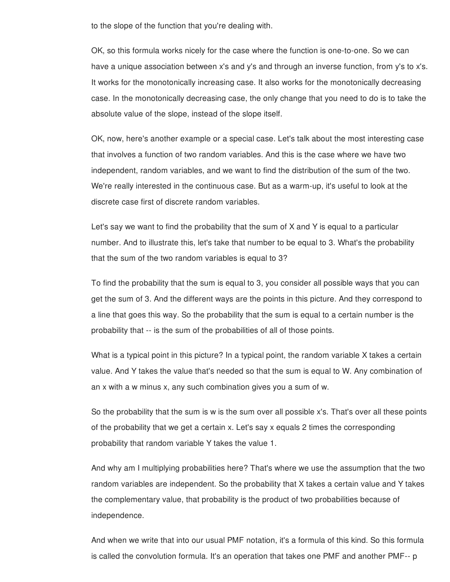to the slope of the function that you're dealing with.

OK, so this formula works nicely for the case where the function is one-to-one. So we can have a unique association between x's and y's and through an inverse function, from y's to x's. It works for the monotonically increasing case. It also works for the monotonically decreasing case. In the monotonically decreasing case, the only change that you need to do is to take the absolute value of the slope, instead of the slope itself.

OK, now, here's another example or a special case. Let's talk about the most interesting case that involves a function of two random variables. And this is the case where we have two independent, random variables, and we want to find the distribution of the sum of the two. We're really interested in the continuous case. But as a warm-up, it's useful to look at the discrete case first of discrete random variables.

Let's say we want to find the probability that the sum of X and Y is equal to a particular number. And to illustrate this, let's take that number to be equal to 3. What's the probability that the sum of the two random variables is equal to 3?

To find the probability that the sum is equal to 3, you consider all possible ways that you can get the sum of 3. And the different ways are the points in this picture. And they correspond to a line that goes this way. So the probability that the sum is equal to a certain number is the probability that -- is the sum of the probabilities of all of those points.

What is a typical point in this picture? In a typical point, the random variable X takes a certain value. And Y takes the value that's needed so that the sum is equal to W. Any combination of an x with a w minus x, any such combination gives you a sum of w.

So the probability that the sum is w is the sum over all possible x's. That's over all these points of the probability that we get a certain x. Let's say x equals 2 times the corresponding probability that random variable Y takes the value 1.

And why am I multiplying probabilities here? That's where we use the assumption that the two random variables are independent. So the probability that X takes a certain value and Y takes the complementary value, that probability is the product of two probabilities because of independence.

And when we write that into our usual PMF notation, it's a formula of this kind. So this formula is called the convolution formula. It's an operation that takes one PMF and another PMF-- p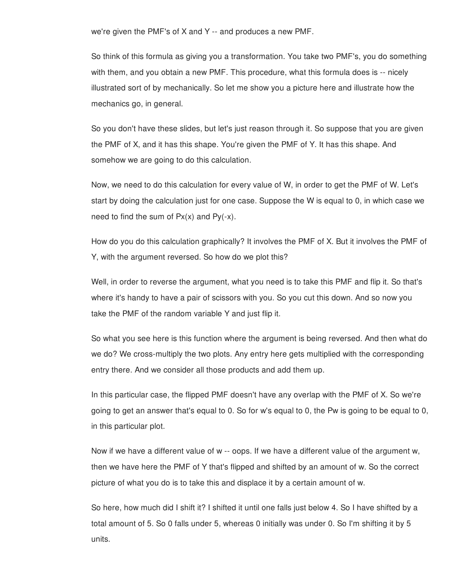we're given the PMF's of X and Y -- and produces a new PMF.

So think of this formula as giving you a transformation. You take two PMF's, you do something with them, and you obtain a new PMF. This procedure, what this formula does is -- nicely illustrated sort of by mechanically. So let me show you a picture here and illustrate how the mechanics go, in general.

So you don't have these slides, but let's just reason through it. So suppose that you are given the PMF of X, and it has this shape. You're given the PMF of Y. It has this shape. And somehow we are going to do this calculation.

Now, we need to do this calculation for every value of W, in order to get the PMF of W. Let's start by doing the calculation just for one case. Suppose the W is equal to 0, in which case we need to find the sum of  $Px(x)$  and  $Py(-x)$ .

How do you do this calculation graphically? It involves the PMF of X. But it involves the PMF of Y, with the argument reversed. So how do we plot this?

Well, in order to reverse the argument, what you need is to take this PMF and flip it. So that's where it's handy to have a pair of scissors with you. So you cut this down. And so now you take the PMF of the random variable Y and just flip it.

So what you see here is this function where the argument is being reversed. And then what do we do? We cross-multiply the two plots. Any entry here gets multiplied with the corresponding entry there. And we consider all those products and add them up.

In this particular case, the flipped PMF doesn't have any overlap with the PMF of X. So we're going to get an answer that's equal to 0. So for w's equal to 0, the Pw is going to be equal to 0, in this particular plot.

Now if we have a different value of w -- oops. If we have a different value of the argument w, then we have here the PMF of Y that's flipped and shifted by an amount of w. So the correct picture of what you do is to take this and displace it by a certain amount of w.

So here, how much did I shift it? I shifted it until one falls just below 4. So I have shifted by a total amount of 5. So 0 falls under 5, whereas 0 initially was under 0. So I'm shifting it by 5 units.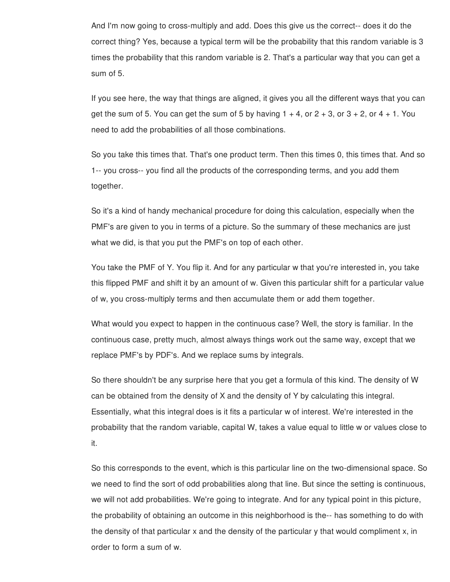And I'm now going to cross-multiply and add. Does this give us the correct-- does it do the correct thing? Yes, because a typical term will be the probability that this random variable is 3 times the probability that this random variable is 2. That's a particular way that you can get a sum of 5.

If you see here, the way that things are aligned, it gives you all the different ways that you can get the sum of 5. You can get the sum of 5 by having  $1 + 4$ , or  $2 + 3$ , or  $3 + 2$ , or  $4 + 1$ . You need to add the probabilities of all those combinations.

So you take this times that. That's one product term. Then this times 0, this times that. And so 1-- you cross-- you find all the products of the corresponding terms, and you add them together.

So it's a kind of handy mechanical procedure for doing this calculation, especially when the PMF's are given to you in terms of a picture. So the summary of these mechanics are just what we did, is that you put the PMF's on top of each other.

You take the PMF of Y. You flip it. And for any particular w that you're interested in, you take this flipped PMF and shift it by an amount of w. Given this particular shift for a particular value of w, you cross-multiply terms and then accumulate them or add them together.

What would you expect to happen in the continuous case? Well, the story is familiar. In the continuous case, pretty much, almost always things work out the same way, except that we replace PMF's by PDF's. And we replace sums by integrals.

So there shouldn't be any surprise here that you get a formula of this kind. The density of W can be obtained from the density of X and the density of Y by calculating this integral. Essentially, what this integral does is it fits a particular w of interest. We're interested in the probability that the random variable, capital W, takes a value equal to little w or values close to it.

So this corresponds to the event, which is this particular line on the two-dimensional space. So we need to find the sort of odd probabilities along that line. But since the setting is continuous, we will not add probabilities. We're going to integrate. And for any typical point in this picture, the probability of obtaining an outcome in this neighborhood is the-- has something to do with the density of that particular x and the density of the particular y that would compliment x, in order to form a sum of w.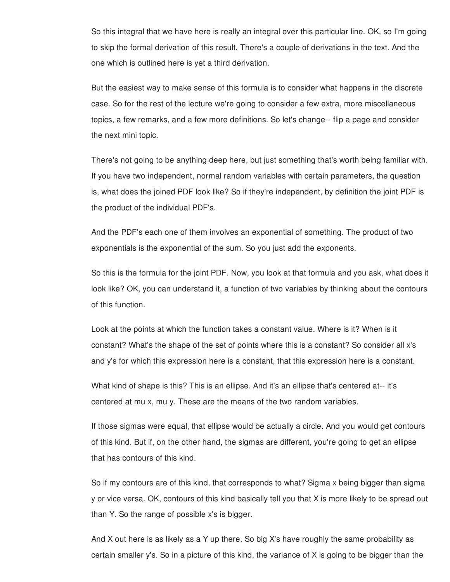So this integral that we have here is really an integral over this particular line. OK, so I'm going to skip the formal derivation of this result. There's a couple of derivations in the text. And the one which is outlined here is yet a third derivation.

But the easiest way to make sense of this formula is to consider what happens in the discrete case. So for the rest of the lecture we're going to consider a few extra, more miscellaneous topics, a few remarks, and a few more definitions. So let's change-- flip a page and consider the next mini topic.

There's not going to be anything deep here, but just something that's worth being familiar with. If you have two independent, normal random variables with certain parameters, the question is, what does the joined PDF look like? So if they're independent, by definition the joint PDF is the product of the individual PDF's.

And the PDF's each one of them involves an exponential of something. The product of two exponentials is the exponential of the sum. So you just add the exponents.

So this is the formula for the joint PDF. Now, you look at that formula and you ask, what does it look like? OK, you can understand it, a function of two variables by thinking about the contours of this function.

Look at the points at which the function takes a constant value. Where is it? When is it constant? What's the shape of the set of points where this is a constant? So consider all x's and y's for which this expression here is a constant, that this expression here is a constant.

What kind of shape is this? This is an ellipse. And it's an ellipse that's centered at-- it's centered at mu x, mu y. These are the means of the two random variables.

If those sigmas were equal, that ellipse would be actually a circle. And you would get contours of this kind. But if, on the other hand, the sigmas are different, you're going to get an ellipse that has contours of this kind.

So if my contours are of this kind, that corresponds to what? Sigma x being bigger than sigma y or vice versa. OK, contours of this kind basically tell you that X is more likely to be spread out than Y. So the range of possible x's is bigger.

And X out here is as likely as a Y up there. So big X's have roughly the same probability as certain smaller y's. So in a picture of this kind, the variance of X is going to be bigger than the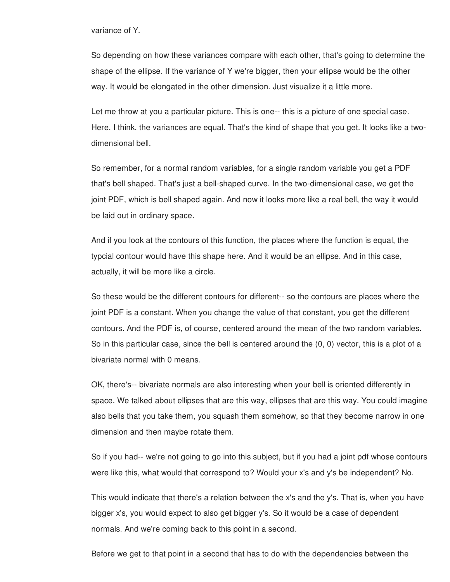variance of Y.

So depending on how these variances compare with each other, that's going to determine the shape of the ellipse. If the variance of Y we're bigger, then your ellipse would be the other way. It would be elongated in the other dimension. Just visualize it a little more.

Let me throw at you a particular picture. This is one-- this is a picture of one special case. Here, I think, the variances are equal. That's the kind of shape that you get. It looks like a twodimensional bell.

So remember, for a normal random variables, for a single random variable you get a PDF that's bell shaped. That's just a bell-shaped curve. In the two-dimensional case, we get the joint PDF, which is bell shaped again. And now it looks more like a real bell, the way it would be laid out in ordinary space.

And if you look at the contours of this function, the places where the function is equal, the typcial contour would have this shape here. And it would be an ellipse. And in this case, actually, it will be more like a circle.

So these would be the different contours for different-- so the contours are places where the joint PDF is a constant. When you change the value of that constant, you get the different contours. And the PDF is, of course, centered around the mean of the two random variables. So in this particular case, since the bell is centered around the (0, 0) vector, this is a plot of a bivariate normal with 0 means.

OK, there's-- bivariate normals are also interesting when your bell is oriented differently in space. We talked about ellipses that are this way, ellipses that are this way. You could imagine also bells that you take them, you squash them somehow, so that they become narrow in one dimension and then maybe rotate them.

So if you had-- we're not going to go into this subject, but if you had a joint pdf whose contours were like this, what would that correspond to? Would your x's and y's be independent? No.

This would indicate that there's a relation between the x's and the y's. That is, when you have bigger x's, you would expect to also get bigger y's. So it would be a case of dependent normals. And we're coming back to this point in a second.

Before we get to that point in a second that has to do with the dependencies between the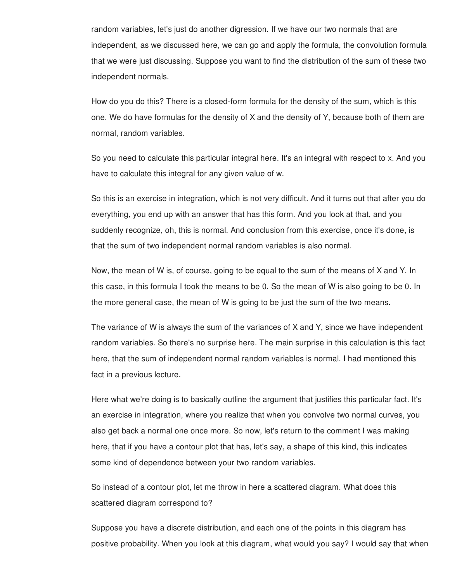random variables, let's just do another digression. If we have our two normals that are independent, as we discussed here, we can go and apply the formula, the convolution formula that we were just discussing. Suppose you want to find the distribution of the sum of these two independent normals.

How do you do this? There is a closed-form formula for the density of the sum, which is this one. We do have formulas for the density of X and the density of Y, because both of them are normal, random variables.

So you need to calculate this particular integral here. It's an integral with respect to x. And you have to calculate this integral for any given value of w.

So this is an exercise in integration, which is not very difficult. And it turns out that after you do everything, you end up with an answer that has this form. And you look at that, and you suddenly recognize, oh, this is normal. And conclusion from this exercise, once it's done, is that the sum of two independent normal random variables is also normal.

Now, the mean of W is, of course, going to be equal to the sum of the means of X and Y. In this case, in this formula I took the means to be 0. So the mean of W is also going to be 0. In the more general case, the mean of W is going to be just the sum of the two means.

The variance of W is always the sum of the variances of X and Y, since we have independent random variables. So there's no surprise here. The main surprise in this calculation is this fact here, that the sum of independent normal random variables is normal. I had mentioned this fact in a previous lecture.

Here what we're doing is to basically outline the argument that justifies this particular fact. It's an exercise in integration, where you realize that when you convolve two normal curves, you also get back a normal one once more. So now, let's return to the comment I was making here, that if you have a contour plot that has, let's say, a shape of this kind, this indicates some kind of dependence between your two random variables.

So instead of a contour plot, let me throw in here a scattered diagram. What does this scattered diagram correspond to?

Suppose you have a discrete distribution, and each one of the points in this diagram has positive probability. When you look at this diagram, what would you say? I would say that when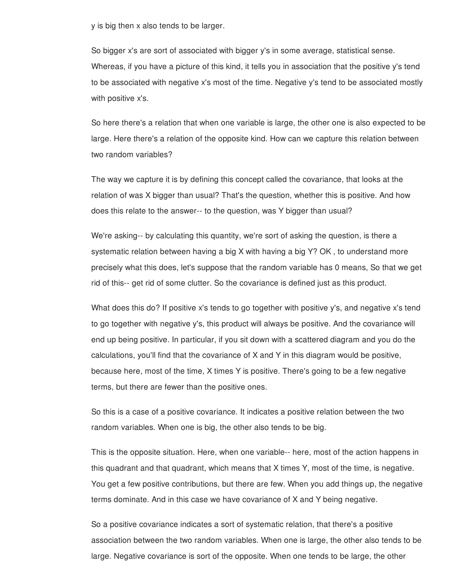y is big then x also tends to be larger.

So bigger x's are sort of associated with bigger y's in some average, statistical sense. Whereas, if you have a picture of this kind, it tells you in association that the positive y's tend to be associated with negative x's most of the time. Negative y's tend to be associated mostly with positive x's.

So here there's a relation that when one variable is large, the other one is also expected to be large. Here there's a relation of the opposite kind. How can we capture this relation between two random variables?

The way we capture it is by defining this concept called the covariance, that looks at the relation of was X bigger than usual? That's the question, whether this is positive. And how does this relate to the answer-- to the question, was Y bigger than usual?

We're asking-- by calculating this quantity, we're sort of asking the question, is there a systematic relation between having a big X with having a big Y? OK , to understand more precisely what this does, let's suppose that the random variable has 0 means, So that we get rid of this-- get rid of some clutter. So the covariance is defined just as this product.

What does this do? If positive x's tends to go together with positive y's, and negative x's tend to go together with negative y's, this product will always be positive. And the covariance will end up being positive. In particular, if you sit down with a scattered diagram and you do the calculations, you'll find that the covariance of X and Y in this diagram would be positive, because here, most of the time, X times Y is positive. There's going to be a few negative terms, but there are fewer than the positive ones.

So this is a case of a positive covariance. It indicates a positive relation between the two random variables. When one is big, the other also tends to be big.

This is the opposite situation. Here, when one variable-- here, most of the action happens in this quadrant and that quadrant, which means that X times Y, most of the time, is negative. You get a few positive contributions, but there are few. When you add things up, the negative terms dominate. And in this case we have covariance of X and Y being negative.

So a positive covariance indicates a sort of systematic relation, that there's a positive association between the two random variables. When one is large, the other also tends to be large. Negative covariance is sort of the opposite. When one tends to be large, the other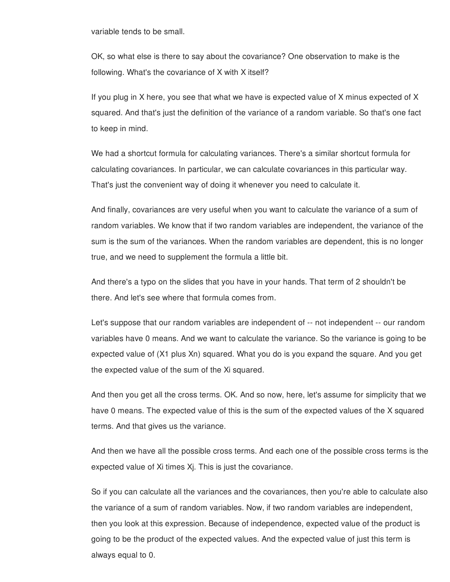variable tends to be small.

OK, so what else is there to say about the covariance? One observation to make is the following. What's the covariance of X with X itself?

If you plug in X here, you see that what we have is expected value of X minus expected of X squared. And that's just the definition of the variance of a random variable. So that's one fact to keep in mind.

We had a shortcut formula for calculating variances. There's a similar shortcut formula for calculating covariances. In particular, we can calculate covariances in this particular way. That's just the convenient way of doing it whenever you need to calculate it.

And finally, covariances are very useful when you want to calculate the variance of a sum of random variables. We know that if two random variables are independent, the variance of the sum is the sum of the variances. When the random variables are dependent, this is no longer true, and we need to supplement the formula a little bit.

And there's a typo on the slides that you have in your hands. That term of 2 shouldn't be there. And let's see where that formula comes from.

Let's suppose that our random variables are independent of -- not independent -- our random variables have 0 means. And we want to calculate the variance. So the variance is going to be expected value of (X1 plus Xn) squared. What you do is you expand the square. And you get the expected value of the sum of the Xi squared.

And then you get all the cross terms. OK. And so now, here, let's assume for simplicity that we have 0 means. The expected value of this is the sum of the expected values of the X squared terms. And that gives us the variance.

And then we have all the possible cross terms. And each one of the possible cross terms is the expected value of Xi times Xj. This is just the covariance.

So if you can calculate all the variances and the covariances, then you're able to calculate also the variance of a sum of random variables. Now, if two random variables are independent, then you look at this expression. Because of independence, expected value of the product is going to be the product of the expected values. And the expected value of just this term is always equal to 0.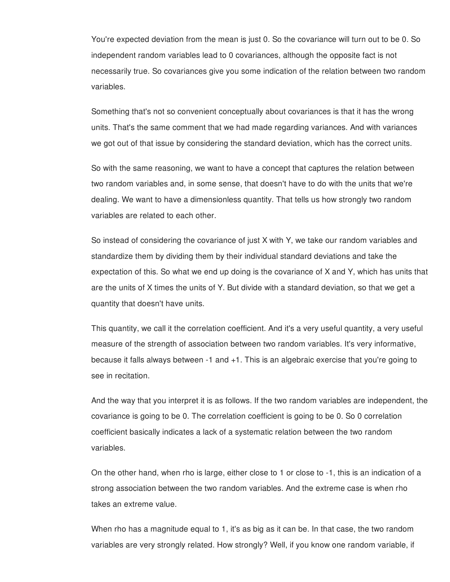You're expected deviation from the mean is just 0. So the covariance will turn out to be 0. So independent random variables lead to 0 covariances, although the opposite fact is not necessarily true. So covariances give you some indication of the relation between two random variables.

Something that's not so convenient conceptually about covariances is that it has the wrong units. That's the same comment that we had made regarding variances. And with variances we got out of that issue by considering the standard deviation, which has the correct units.

So with the same reasoning, we want to have a concept that captures the relation between two random variables and, in some sense, that doesn't have to do with the units that we're dealing. We want to have a dimensionless quantity. That tells us how strongly two random variables are related to each other.

So instead of considering the covariance of just X with Y, we take our random variables and standardize them by dividing them by their individual standard deviations and take the expectation of this. So what we end up doing is the covariance of X and Y, which has units that are the units of X times the units of Y. But divide with a standard deviation, so that we get a quantity that doesn't have units.

This quantity, we call it the correlation coefficient. And it's a very useful quantity, a very useful measure of the strength of association between two random variables. It's very informative, because it falls always between -1 and +1. This is an algebraic exercise that you're going to see in recitation.

And the way that you interpret it is as follows. If the two random variables are independent, the covariance is going to be 0. The correlation coefficient is going to be 0. So 0 correlation coefficient basically indicates a lack of a systematic relation between the two random variables.

On the other hand, when rho is large, either close to 1 or close to -1, this is an indication of a strong association between the two random variables. And the extreme case is when rho takes an extreme value.

When rho has a magnitude equal to 1, it's as big as it can be. In that case, the two random variables are very strongly related. How strongly? Well, if you know one random variable, if